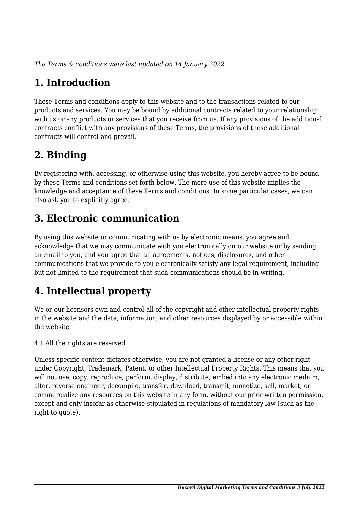*The Terms & conditions were last updated on 14 January 2022*

# **1. Introduction**

These Terms and conditions apply to this website and to the transactions related to our products and services. You may be bound by additional contracts related to your relationship with us or any products or services that you receive from us. If any provisions of the additional contracts conflict with any provisions of these Terms, the provisions of these additional contracts will control and prevail.

# **2. Binding**

By registering with, accessing, or otherwise using this website, you hereby agree to be bound by these Terms and conditions set forth below. The mere use of this website implies the knowledge and acceptance of these Terms and conditions. In some particular cases, we can also ask you to explicitly agree.

# **3. Electronic communication**

By using this website or communicating with us by electronic means, you agree and acknowledge that we may communicate with you electronically on our website or by sending an email to you, and you agree that all agreements, notices, disclosures, and other communications that we provide to you electronically satisfy any legal requirement, including but not limited to the requirement that such communications should be in writing.

# **4. Intellectual property**

We or our licensors own and control all of the copyright and other intellectual property rights in the website and the data, information, and other resources displayed by or accessible within the website.

4.1 All the rights are reserved

Unless specific content dictates otherwise, you are not granted a license or any other right under Copyright, Trademark, Patent, or other Intellectual Property Rights. This means that you will not use, copy, reproduce, perform, display, distribute, embed into any electronic medium, alter, reverse engineer, decompile, transfer, download, transmit, monetize, sell, market, or commercialize any resources on this website in any form, without our prior written permission, except and only insofar as otherwise stipulated in regulations of mandatory law (such as the right to quote).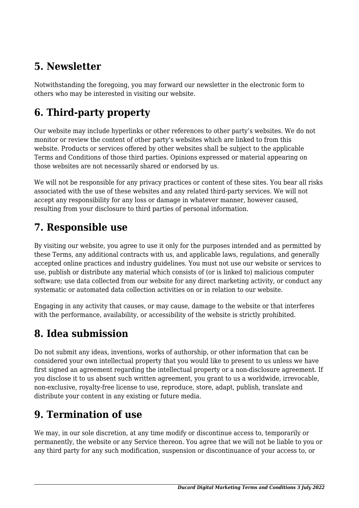# **5. Newsletter**

Notwithstanding the foregoing, you may forward our newsletter in the electronic form to others who may be interested in visiting our website.

# **6. Third-party property**

Our website may include hyperlinks or other references to other party's websites. We do not monitor or review the content of other party's websites which are linked to from this website. Products or services offered by other websites shall be subject to the applicable Terms and Conditions of those third parties. Opinions expressed or material appearing on those websites are not necessarily shared or endorsed by us.

We will not be responsible for any privacy practices or content of these sites. You bear all risks associated with the use of these websites and any related third-party services. We will not accept any responsibility for any loss or damage in whatever manner, however caused, resulting from your disclosure to third parties of personal information.

### **7. Responsible use**

By visiting our website, you agree to use it only for the purposes intended and as permitted by these Terms, any additional contracts with us, and applicable laws, regulations, and generally accepted online practices and industry guidelines. You must not use our website or services to use, publish or distribute any material which consists of (or is linked to) malicious computer software; use data collected from our website for any direct marketing activity, or conduct any systematic or automated data collection activities on or in relation to our website.

Engaging in any activity that causes, or may cause, damage to the website or that interferes with the performance, availability, or accessibility of the website is strictly prohibited.

# **8. Idea submission**

Do not submit any ideas, inventions, works of authorship, or other information that can be considered your own intellectual property that you would like to present to us unless we have first signed an agreement regarding the intellectual property or a non-disclosure agreement. If you disclose it to us absent such written agreement, you grant to us a worldwide, irrevocable, non-exclusive, royalty-free license to use, reproduce, store, adapt, publish, translate and distribute your content in any existing or future media.

# **9. Termination of use**

We may, in our sole discretion, at any time modify or discontinue access to, temporarily or permanently, the website or any Service thereon. You agree that we will not be liable to you or any third party for any such modification, suspension or discontinuance of your access to, or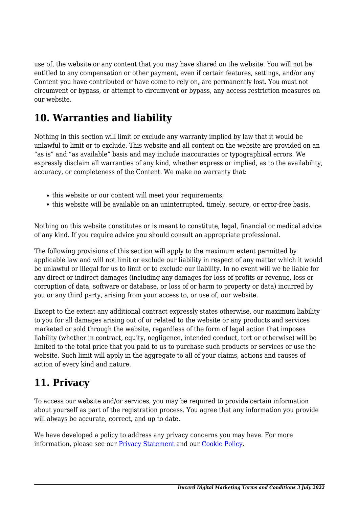use of, the website or any content that you may have shared on the website. You will not be entitled to any compensation or other payment, even if certain features, settings, and/or any Content you have contributed or have come to rely on, are permanently lost. You must not circumvent or bypass, or attempt to circumvent or bypass, any access restriction measures on our website.

### **10. Warranties and liability**

Nothing in this section will limit or exclude any warranty implied by law that it would be unlawful to limit or to exclude. This website and all content on the website are provided on an "as is" and "as available" basis and may include inaccuracies or typographical errors. We expressly disclaim all warranties of any kind, whether express or implied, as to the availability, accuracy, or completeness of the Content. We make no warranty that:

- this website or our content will meet your requirements;
- this website will be available on an uninterrupted, timely, secure, or error-free basis.

Nothing on this website constitutes or is meant to constitute, legal, financial or medical advice of any kind. If you require advice you should consult an appropriate professional.

The following provisions of this section will apply to the maximum extent permitted by applicable law and will not limit or exclude our liability in respect of any matter which it would be unlawful or illegal for us to limit or to exclude our liability. In no event will we be liable for any direct or indirect damages (including any damages for loss of profits or revenue, loss or corruption of data, software or database, or loss of or harm to property or data) incurred by you or any third party, arising from your access to, or use of, our website.

Except to the extent any additional contract expressly states otherwise, our maximum liability to you for all damages arising out of or related to the website or any products and services marketed or sold through the website, regardless of the form of legal action that imposes liability (whether in contract, equity, negligence, intended conduct, tort or otherwise) will be limited to the total price that you paid to us to purchase such products or services or use the website. Such limit will apply in the aggregate to all of your claims, actions and causes of action of every kind and nature.

### **11. Privacy**

To access our website and/or services, you may be required to provide certain information about yourself as part of the registration process. You agree that any information you provide will always be accurate, correct, and up to date.

We have developed a policy to address any privacy concerns you may have. For more information, please see our **Privacy Statement** and our **[Cookie Policy](http://79.170.44.113/ducard.co.uk/cookie-policy-uk/?cmplz_region_redirect=true)**.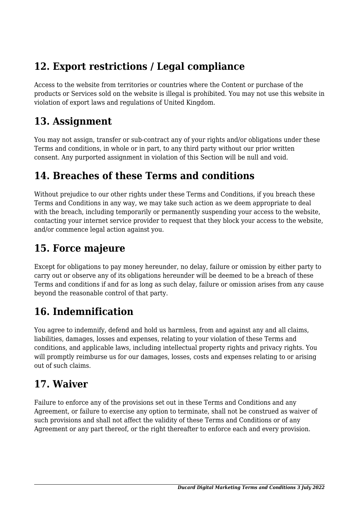# **12. Export restrictions / Legal compliance**

Access to the website from territories or countries where the Content or purchase of the products or Services sold on the website is illegal is prohibited. You may not use this website in violation of export laws and regulations of United Kingdom.

#### **13. Assignment**

You may not assign, transfer or sub-contract any of your rights and/or obligations under these Terms and conditions, in whole or in part, to any third party without our prior written consent. Any purported assignment in violation of this Section will be null and void.

### **14. Breaches of these Terms and conditions**

Without prejudice to our other rights under these Terms and Conditions, if you breach these Terms and Conditions in any way, we may take such action as we deem appropriate to deal with the breach, including temporarily or permanently suspending your access to the website, contacting your internet service provider to request that they block your access to the website, and/or commence legal action against you.

### **15. Force majeure**

Except for obligations to pay money hereunder, no delay, failure or omission by either party to carry out or observe any of its obligations hereunder will be deemed to be a breach of these Terms and conditions if and for as long as such delay, failure or omission arises from any cause beyond the reasonable control of that party.

# **16. Indemnification**

You agree to indemnify, defend and hold us harmless, from and against any and all claims, liabilities, damages, losses and expenses, relating to your violation of these Terms and conditions, and applicable laws, including intellectual property rights and privacy rights. You will promptly reimburse us for our damages, losses, costs and expenses relating to or arising out of such claims.

# **17. Waiver**

Failure to enforce any of the provisions set out in these Terms and Conditions and any Agreement, or failure to exercise any option to terminate, shall not be construed as waiver of such provisions and shall not affect the validity of these Terms and Conditions or of any Agreement or any part thereof, or the right thereafter to enforce each and every provision.